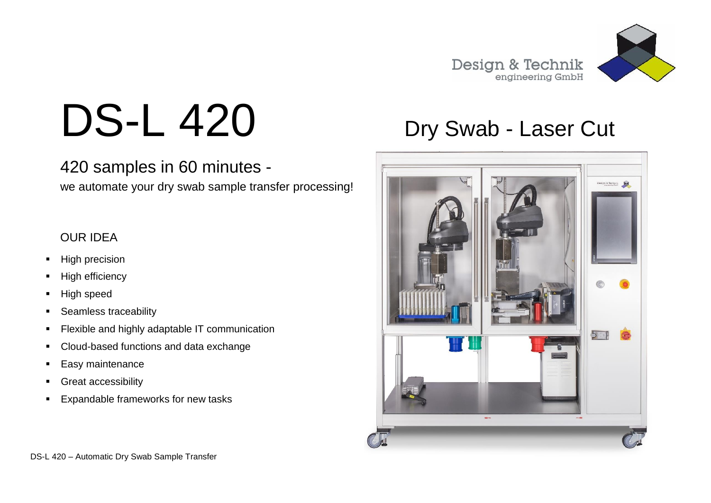

# DS-L 420 Dry Swab - Laser Cut

### 420 samples in 60 minutes -

we automate your dry swab sample transfer processing!

### OUR IDEA

- **High precision**
- High efficiency
- High speed
- Seamless traceability
- **Flexible and highly adaptable IT communication**
- Cloud-based functions and data exchange
- Easy maintenance
- **Great accessibility**
- **Expandable frameworks for new tasks**

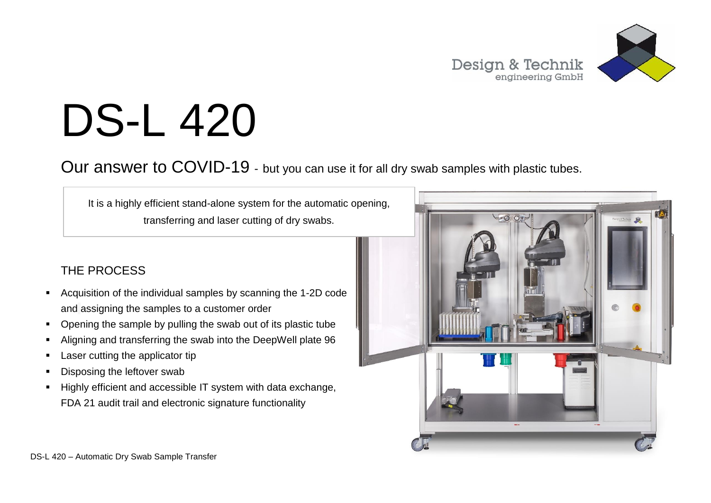

# DS-L 420

Our answer to COVID-19 - but you can use it for all dry swab samples with plastic tubes.

It is a highly efficient stand-alone system for the automatic opening, transferring and laser cutting of dry swabs.

### THE PROCESS

- Acquisition of the individual samples by scanning the 1-2D code and assigning the samples to a customer order
- Opening the sample by pulling the swab out of its plastic tube
- Aligning and transferring the swab into the DeepWell plate 96
- Laser cutting the applicator tip
- Disposing the leftover swab
- Highly efficient and accessible IT system with data exchange, FDA 21 audit trail and electronic signature functionality

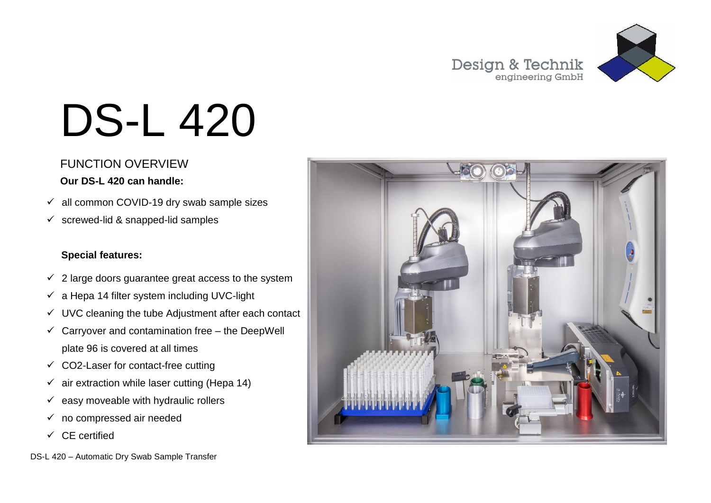

# DS-L 420

### FUNCTION OVERVIEW

#### **Our DS-L 420 can handle:**

- $\checkmark$  all common COVID-19 dry swab sample sizes
- $\checkmark$  screwed-lid & snapped-lid samples

### **Special features:**

- $\checkmark$  2 large doors guarantee great access to the system
- $\checkmark$  a Hepa 14 filter system including UVC-light
- $\checkmark$  UVC cleaning the tube Adjustment after each contact
- $\checkmark$  Carryover and contamination free the DeepWell plate 96 is covered at all times
- $\checkmark$  CO2-Laser for contact-free cutting
- $\checkmark$  air extraction while laser cutting (Hepa 14)
- $\checkmark$  easy moveable with hydraulic rollers
- $\checkmark$  no compressed air needed
- $\checkmark$  CF certified